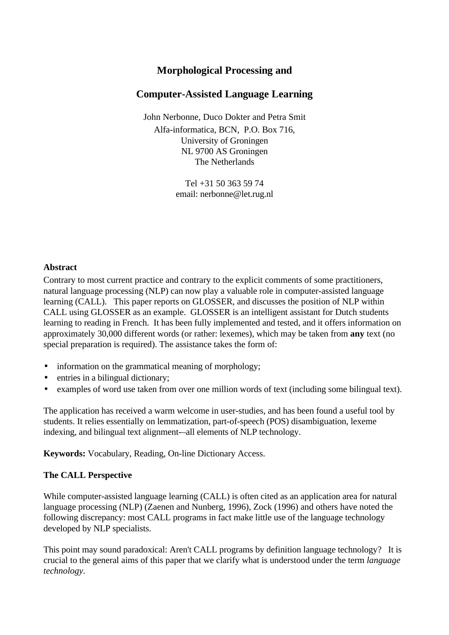# **Morphological Processing and**

# **Computer-Assisted Language Learning**

John Nerbonne, Duco Dokter and Petra Smit Alfa-informatica, BCN, P.O. Box 716, University of Groningen NL 9700 AS Groningen The Netherlands

> Tel +31 50 363 59 74 email: nerbonne@let.rug.nl

#### **Abstract**

Contrary to most current practice and contrary to the explicit comments of some practitioners, natural language processing (NLP) can now play a valuable role in computer-assisted language learning (CALL). This paper reports on GLOSSER, and discusses the position of NLP within CALL using GLOSSER as an example. GLOSSER is an intelligent assistant for Dutch students learning to reading in French. It has been fully implemented and tested, and it offers information on approximately 30,000 different words (or rather: lexemes), which may be taken from **any** text (no special preparation is required). The assistance takes the form of:

- information on the grammatical meaning of morphology;
- entries in a bilingual dictionary;
- examples of word use taken from over one million words of text (including some bilingual text).

The application has received a warm welcome in user-studies, and has been found a useful tool by students. It relies essentially on lemmatization, part-of-speech (POS) disambiguation, lexeme indexing, and bilingual text alignment-–all elements of NLP technology.

**Keywords:** Vocabulary, Reading, On-line Dictionary Access.

#### **The CALL Perspective**

While computer-assisted language learning (CALL) is often cited as an application area for natural language processing (NLP) (Zaenen and Nunberg, 1996), Zock (1996) and others have noted the following discrepancy: most CALL programs in fact make little use of the language technology developed by NLP specialists.

This point may sound paradoxical: Aren't CALL programs by definition language technology? It is crucial to the general aims of this paper that we clarify what is understood under the term *language technology*.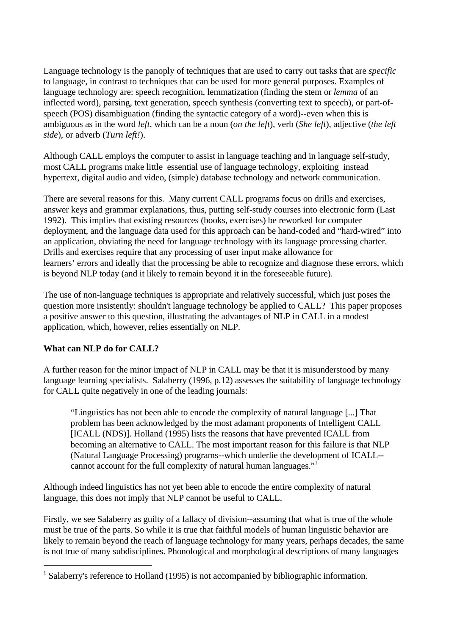Language technology is the panoply of techniques that are used to carry out tasks that are *specific* to language, in contrast to techniques that can be used for more general purposes. Examples of language technology are: speech recognition, lemmatization (finding the stem or *lemma* of an inflected word), parsing, text generation, speech synthesis (converting text to speech), or part-ofspeech (POS) disambiguation (finding the syntactic category of a word)--even when this is ambiguous as in the word *left*, which can be a noun (*on the left*), verb (*She left*), adjective (*the left side*), or adverb (*Turn left!*).

Although CALL employs the computer to assist in language teaching and in language self-study, most CALL programs make little essential use of language technology, exploiting instead hypertext, digital audio and video, (simple) database technology and network communication.

There are several reasons for this. Many current CALL programs focus on drills and exercises, answer keys and grammar explanations, thus, putting self-study courses into electronic form (Last 1992). This implies that existing resources (books, exercises) be reworked for computer deployment, and the language data used for this approach can be hand-coded and "hard-wired" into an application, obviating the need for language technology with its language processing charter. Drills and exercises require that any processing of user input make allowance for learners' errors and ideally that the processing be able to recognize and diagnose these errors, which is beyond NLP today (and it likely to remain beyond it in the foreseeable future).

The use of non-language techniques is appropriate and relatively successful, which just poses the question more insistently: shouldn't language technology be applied to CALL? This paper proposes a positive answer to this question, illustrating the advantages of NLP in CALL in a modest application, which, however, relies essentially on NLP.

#### **What can NLP do for CALL?**

i

A further reason for the minor impact of NLP in CALL may be that it is misunderstood by many language learning specialists. Salaberry (1996, p.12) assesses the suitability of language technology for CALL quite negatively in one of the leading journals:

"Linguistics has not been able to encode the complexity of natural language [...] That problem has been acknowledged by the most adamant proponents of Intelligent CALL [ICALL (NDS)]. Holland (1995) lists the reasons that have prevented ICALL from becoming an alternative to CALL. The most important reason for this failure is that NLP (Natural Language Processing) programs--which underlie the development of ICALL- cannot account for the full complexity of natural human languages."<sup>1</sup>

Although indeed linguistics has not yet been able to encode the entire complexity of natural language, this does not imply that NLP cannot be useful to CALL.

Firstly, we see Salaberry as guilty of a fallacy of division--assuming that what is true of the whole must be true of the parts. So while it is true that faithful models of human linguistic behavior are likely to remain beyond the reach of language technology for many years, perhaps decades, the same is not true of many subdisciplines. Phonological and morphological descriptions of many languages

<sup>&</sup>lt;sup>1</sup> Salaberry's reference to Holland (1995) is not accompanied by bibliographic information.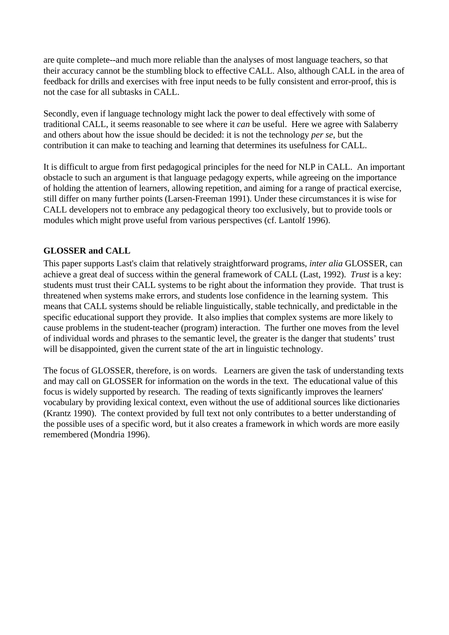are quite complete--and much more reliable than the analyses of most language teachers, so that their accuracy cannot be the stumbling block to effective CALL. Also, although CALL in the area of feedback for drills and exercises with free input needs to be fully consistent and error-proof, this is not the case for all subtasks in CALL.

Secondly, even if language technology might lack the power to deal effectively with some of traditional CALL, it seems reasonable to see where it *can* be useful. Here we agree with Salaberry and others about how the issue should be decided: it is not the technology *per se*, but the contribution it can make to teaching and learning that determines its usefulness for CALL.

It is difficult to argue from first pedagogical principles for the need for NLP in CALL. An important obstacle to such an argument is that language pedagogy experts, while agreeing on the importance of holding the attention of learners, allowing repetition, and aiming for a range of practical exercise, still differ on many further points (Larsen-Freeman 1991). Under these circumstances it is wise for CALL developers not to embrace any pedagogical theory too exclusively, but to provide tools or modules which might prove useful from various perspectives (cf. Lantolf 1996).

#### **GLOSSER and CALL**

This paper supports Last's claim that relatively straightforward programs, *inter alia* GLOSSER, can achieve a great deal of success within the general framework of CALL (Last, 1992). *Trust* is a key: students must trust their CALL systems to be right about the information they provide. That trust is threatened when systems make errors, and students lose confidence in the learning system. This means that CALL systems should be reliable linguistically, stable technically, and predictable in the specific educational support they provide. It also implies that complex systems are more likely to cause problems in the student-teacher (program) interaction. The further one moves from the level of individual words and phrases to the semantic level, the greater is the danger that students' trust will be disappointed, given the current state of the art in linguistic technology.

The focus of GLOSSER, therefore, is on words. Learners are given the task of understanding texts and may call on GLOSSER for information on the words in the text. The educational value of this focus is widely supported by research. The reading of texts significantly improves the learners' vocabulary by providing lexical context, even without the use of additional sources like dictionaries (Krantz 1990). The context provided by full text not only contributes to a better understanding of the possible uses of a specific word, but it also creates a framework in which words are more easily remembered (Mondria 1996).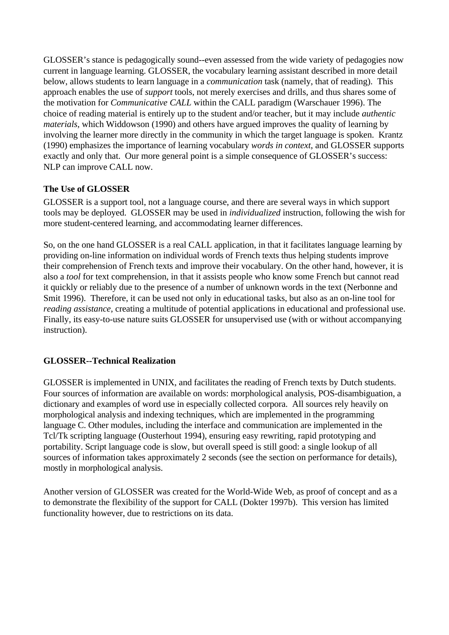GLOSSER's stance is pedagogically sound--even assessed from the wide variety of pedagogies now current in language learning. GLOSSER, the vocabulary learning assistant described in more detail below, allows students to learn language in a *communication* task (namely, that of reading). This approach enables the use of *support* tools, not merely exercises and drills, and thus shares some of the motivation for *Communicative CALL* within the CALL paradigm (Warschauer 1996). The choice of reading material is entirely up to the student and/or teacher, but it may include *authentic materials*, which Widdowson (1990) and others have argued improves the quality of learning by involving the learner more directly in the community in which the target language is spoken. Krantz (1990) emphasizes the importance of learning vocabulary *words in context*, and GLOSSER supports exactly and only that. Our more general point is a simple consequence of GLOSSER's success: NLP can improve CALL now.

### **The Use of GLOSSER**

GLOSSER is a support tool, not a language course, and there are several ways in which support tools may be deployed. GLOSSER may be used in *individualized* instruction, following the wish for more student-centered learning, and accommodating learner differences.

So, on the one hand GLOSSER is a real CALL application, in that it facilitates language learning by providing on-line information on individual words of French texts thus helping students improve their comprehension of French texts and improve their vocabulary. On the other hand, however, it is also a *tool* for text comprehension, in that it assists people who know some French but cannot read it quickly or reliably due to the presence of a number of unknown words in the text (Nerbonne and Smit 1996). Therefore, it can be used not only in educational tasks, but also as an on-line tool for *reading assistance*, creating a multitude of potential applications in educational and professional use. Finally, its easy-to-use nature suits GLOSSER for unsupervised use (with or without accompanying instruction).

## **GLOSSER--Technical Realization**

GLOSSER is implemented in UNIX, and facilitates the reading of French texts by Dutch students. Four sources of information are available on words: morphological analysis, POS-disambiguation, a dictionary and examples of word use in especially collected corpora. All sources rely heavily on morphological analysis and indexing techniques, which are implemented in the programming language C. Other modules, including the interface and communication are implemented in the Tcl/Tk scripting language (Ousterhout 1994), ensuring easy rewriting, rapid prototyping and portability. Script language code is slow, but overall speed is still good: a single lookup of all sources of information takes approximately 2 seconds (see the section on performance for details), mostly in morphological analysis.

Another version of GLOSSER was created for the World-Wide Web, as proof of concept and as a to demonstrate the flexibility of the support for CALL (Dokter 1997b). This version has limited functionality however, due to restrictions on its data.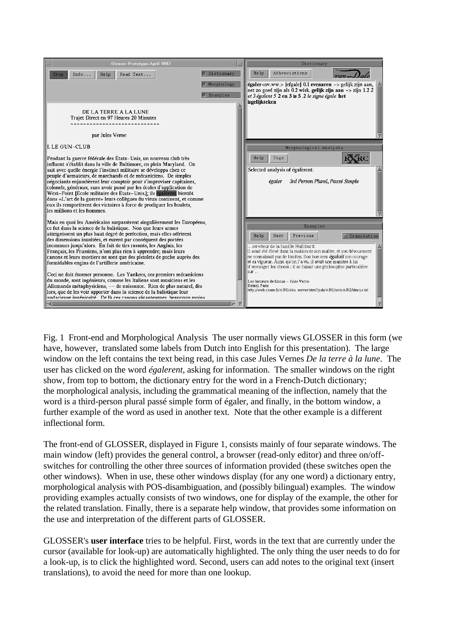

Fig. 1 Front-end and Morphological Analysis The user normally views GLOSSER in this form (we have, however, translated some labels from Dutch into English for this presentation). The large window on the left contains the text being read, in this case Jules Vernes *De la terre à la lune*. The user has clicked on the word *égalerent*, asking for information. The smaller windows on the right show, from top to bottom, the dictionary entry for the word in a French-Dutch dictionary; the morphological analysis, including the grammatical meaning of the inflection, namely that the word is a third-person plural passé simple form of égaler, and finally, in the bottom window, a further example of the word as used in another text. Note that the other example is a different inflectional form.

The front-end of GLOSSER, displayed in Figure 1, consists mainly of four separate windows. The main window (left) provides the general control, a browser (read-only editor) and three on/offswitches for controlling the other three sources of information provided (these switches open the other windows). When in use, these other windows display (for any one word) a dictionary entry, morphological analysis with POS-disambiguation, and (possibly bilingual) examples. The window providing examples actually consists of two windows, one for display of the example, the other for the related translation. Finally, there is a separate help window, that provides some information on the use and interpretation of the different parts of GLOSSER.

GLOSSER's **user interface** tries to be helpful. First, words in the text that are currently under the cursor (available for look-up) are automatically highlighted. The only thing the user needs to do for a look-up, is to click the highlighted word. Second, users can add notes to the original text (insert translations), to avoid the need for more than one lookup.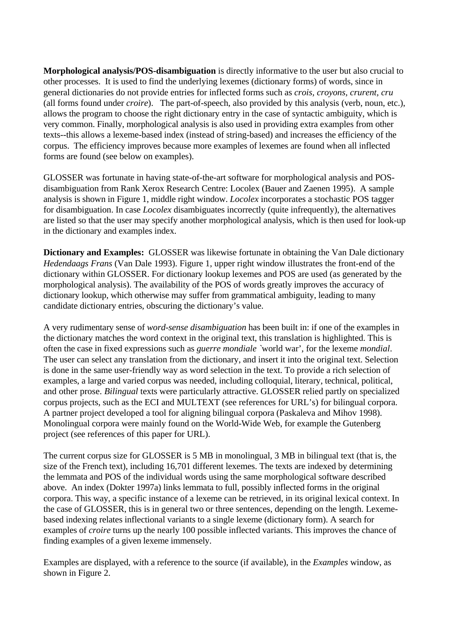**Morphological analysis/POS-disambiguation** is directly informative to the user but also crucial to other processes. It is used to find the underlying lexemes (dictionary forms) of words, since in general dictionaries do not provide entries for inflected forms such as *crois, croyons, crurent, cru* (all forms found under *croire*). The part-of-speech, also provided by this analysis (verb, noun, etc.), allows the program to choose the right dictionary entry in the case of syntactic ambiguity, which is very common. Finally, morphological analysis is also used in providing extra examples from other texts--this allows a lexeme-based index (instead of string-based) and increases the efficiency of the corpus. The efficiency improves because more examples of lexemes are found when all inflected forms are found (see below on examples).

GLOSSER was fortunate in having state-of-the-art software for morphological analysis and POSdisambiguation from Rank Xerox Research Centre: Locolex (Bauer and Zaenen 1995). A sample analysis is shown in Figure 1, middle right window. *Locolex* incorporates a stochastic POS tagger for disambiguation. In case *Locolex* disambiguates incorrectly (quite infrequently), the alternatives are listed so that the user may specify another morphological analysis, which is then used for look-up in the dictionary and examples index.

**Dictionary and Examples:** GLOSSER was likewise fortunate in obtaining the Van Dale dictionary *Hedendaags Frans* (Van Dale 1993). Figure 1, upper right window illustrates the front-end of the dictionary within GLOSSER. For dictionary lookup lexemes and POS are used (as generated by the morphological analysis). The availability of the POS of words greatly improves the accuracy of dictionary lookup, which otherwise may suffer from grammatical ambiguity, leading to many candidate dictionary entries, obscuring the dictionary's value.

A very rudimentary sense of *word-sense disambiguation* has been built in: if one of the examples in the dictionary matches the word context in the original text, this translation is highlighted. This is often the case in fixed expressions such as *guerre mondiale `*world war', for the lexeme *mondial*. The user can select any translation from the dictionary, and insert it into the original text. Selection is done in the same user-friendly way as word selection in the text. To provide a rich selection of examples, a large and varied corpus was needed, including colloquial, literary, technical, political, and other prose. *Bilingual* texts were particularly attractive. GLOSSER relied partly on specialized corpus projects, such as the ECI and MULTEXT (see references for URL's) for bilingual corpora. A partner project developed a tool for aligning bilingual corpora (Paskaleva and Mihov 1998). Monolingual corpora were mainly found on the World-Wide Web, for example the Gutenberg project (see references of this paper for URL).

The current corpus size for GLOSSER is 5 MB in monolingual, 3 MB in bilingual text (that is, the size of the French text), including 16,701 different lexemes. The texts are indexed by determining the lemmata and POS of the individual words using the same morphological software described above. An index (Dokter 1997a) links lemmata to full, possibly inflected forms in the original corpora. This way, a specific instance of a lexeme can be retrieved, in its original lexical context. In the case of GLOSSER, this is in general two or three sentences, depending on the length. Lexemebased indexing relates inflectional variants to a single lexeme (dictionary form). A search for examples of *croire* turns up the nearly 100 possible inflected variants. This improves the chance of finding examples of a given lexeme immensely.

Examples are displayed, with a reference to the source (if available), in the *Examples* window, as shown in Figure 2.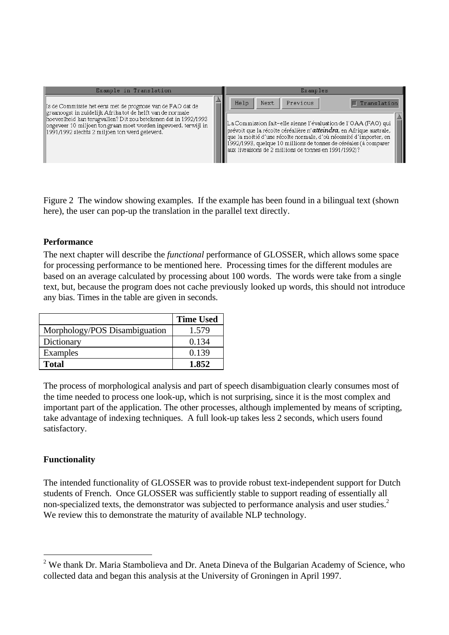| Example in Translation                                                                                                                                                                                                                                                                                           | Examples                                                                                                                                                                                                                                                                                                                                                                                           |  |
|------------------------------------------------------------------------------------------------------------------------------------------------------------------------------------------------------------------------------------------------------------------------------------------------------------------|----------------------------------------------------------------------------------------------------------------------------------------------------------------------------------------------------------------------------------------------------------------------------------------------------------------------------------------------------------------------------------------------------|--|
| Is de Commissie het eens met de prognose van de FAO dat de<br>graanoogst in zuidelijk Afrika tot de helft van de normale<br>hoeveelheid kan terugvallen? Dit zou betekenen dat in 1992/1993<br>ongeveer 10 miljoen ton graan moet worden ingevoerd, terwijl in<br>1991/1992 slechts 2 miljoen ton werd geleverd. | Previous<br>$\blacksquare$ Translation<br>Help<br>Next<br>La Commission fait-elle sienne l'évaluation de l'OAA (FAO) qui<br>prévoit que la récolte céréalière n'atteindra, en Afrique australe,<br>que la moitié d'une récolte normale, d'où nécessité d'importer, en<br>1992/1993, quelque 10 millions de tonnes de céréales (à comparer<br>aux livraisons de 2 millions de tonnes en 1991/1992)? |  |

Figure 2 The window showing examples. If the example has been found in a bilingual text (shown here), the user can pop-up the translation in the parallel text directly.

#### **Performance**

The next chapter will describe the *functional* performance of GLOSSER, which allows some space for processing performance to be mentioned here. Processing times for the different modules are based on an average calculated by processing about 100 words. The words were take from a single text, but, because the program does not cache previously looked up words, this should not introduce any bias. Times in the table are given in seconds.

|                               | <b>Time Used</b> |
|-------------------------------|------------------|
| Morphology/POS Disambiguation | 1.579            |
| Dictionary                    | 0.134            |
| Examples                      | 0.139            |
| <b>Total</b>                  | 1.852            |

The process of morphological analysis and part of speech disambiguation clearly consumes most of the time needed to process one look-up, which is not surprising, since it is the most complex and important part of the application. The other processes, although implemented by means of scripting, take advantage of indexing techniques. A full look-up takes less 2 seconds, which users found satisfactory.

#### **Functionality**

i

The intended functionality of GLOSSER was to provide robust text-independent support for Dutch students of French. Once GLOSSER was sufficiently stable to support reading of essentially all non-specialized texts, the demonstrator was subjected to performance analysis and user studies.<sup>2</sup> We review this to demonstrate the maturity of available NLP technology.

 $2$  We thank Dr. Maria Stambolieva and Dr. Aneta Dineva of the Bulgarian Academy of Science, who collected data and began this analysis at the University of Groningen in April 1997.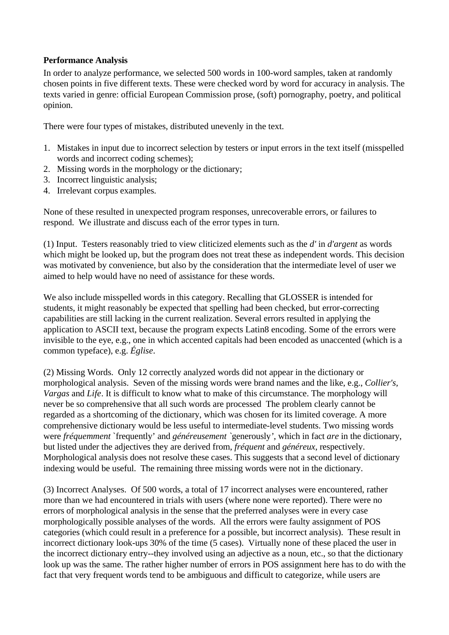#### **Performance Analysis**

In order to analyze performance, we selected 500 words in 100-word samples, taken at randomly chosen points in five different texts. These were checked word by word for accuracy in analysis. The texts varied in genre: official European Commission prose, (soft) pornography, poetry, and political opinion.

There were four types of mistakes, distributed unevenly in the text.

- 1. Mistakes in input due to incorrect selection by testers or input errors in the text itself (misspelled words and incorrect coding schemes);
- 2. Missing words in the morphology or the dictionary;
- 3. Incorrect linguistic analysis;
- 4. Irrelevant corpus examples.

None of these resulted in unexpected program responses, unrecoverable errors, or failures to respond. We illustrate and discuss each of the error types in turn.

(1) Input. Testers reasonably tried to view cliticized elements such as the *d'* in *d'argent* as words which might be looked up, but the program does not treat these as independent words. This decision was motivated by convenience, but also by the consideration that the intermediate level of user we aimed to help would have no need of assistance for these words.

We also include misspelled words in this category. Recalling that GLOSSER is intended for students, it might reasonably be expected that spelling had been checked, but error-correcting capabilities are still lacking in the current realization. Several errors resulted in applying the application to ASCII text, because the program expects Latin8 encoding. Some of the errors were invisible to the eye, e.g., one in which accented capitals had been encoded as unaccented (which is a common typeface), e.g. *Église*.

(2) Missing Words. Only 12 correctly analyzed words did not appear in the dictionary or morphological analysis. Seven of the missing words were brand names and the like, e.g., *Collier's, Vargas* and *Life*. It is difficult to know what to make of this circumstance. The morphology will never be so comprehensive that all such words are processed The problem clearly cannot be regarded as a shortcoming of the dictionary, which was chosen for its limited coverage. A more comprehensive dictionary would be less useful to intermediate-level students. Two missing words were *fréquemment* `frequently' and *généreusement `*generously*'*, which in fact *are* in the dictionary, but listed under the adjectives they are derived from, *fréquent* and *généreux*, respectively. Morphological analysis does not resolve these cases. This suggests that a second level of dictionary indexing would be useful. The remaining three missing words were not in the dictionary.

(3) Incorrect Analyses. Of 500 words, a total of 17 incorrect analyses were encountered, rather more than we had encountered in trials with users (where none were reported). There were no errors of morphological analysis in the sense that the preferred analyses were in every case morphologically possible analyses of the words. All the errors were faulty assignment of POS categories (which could result in a preference for a possible, but incorrect analysis). These result in incorrect dictionary look-ups 30% of the time (5 cases). Virtually none of these placed the user in the incorrect dictionary entry--they involved using an adjective as a noun, etc., so that the dictionary look up was the same. The rather higher number of errors in POS assignment here has to do with the fact that very frequent words tend to be ambiguous and difficult to categorize, while users are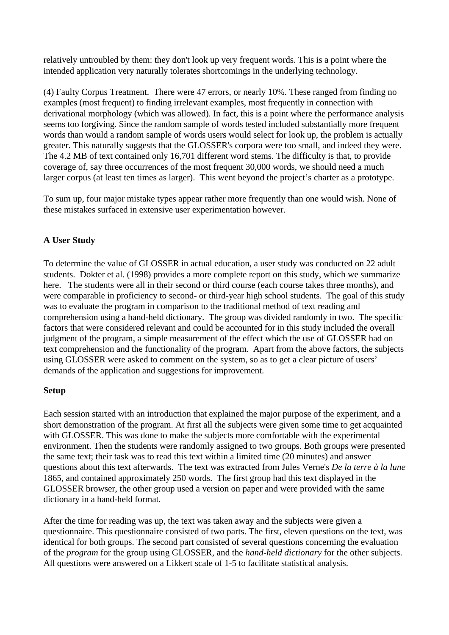relatively untroubled by them: they don't look up very frequent words. This is a point where the intended application very naturally tolerates shortcomings in the underlying technology.

(4) Faulty Corpus Treatment. There were 47 errors, or nearly 10%. These ranged from finding no examples (most frequent) to finding irrelevant examples, most frequently in connection with derivational morphology (which was allowed). In fact, this is a point where the performance analysis seems too forgiving. Since the random sample of words tested included substantially more frequent words than would a random sample of words users would select for look up, the problem is actually greater. This naturally suggests that the GLOSSER's corpora were too small, and indeed they were. The 4.2 MB of text contained only 16,701 different word stems. The difficulty is that, to provide coverage of, say three occurrences of the most frequent 30,000 words, we should need a much larger corpus (at least ten times as larger). This went beyond the project's charter as a prototype.

To sum up, four major mistake types appear rather more frequently than one would wish. None of these mistakes surfaced in extensive user experimentation however.

### **A User Study**

To determine the value of GLOSSER in actual education, a user study was conducted on 22 adult students. Dokter et al. (1998) provides a more complete report on this study, which we summarize here. The students were all in their second or third course (each course takes three months), and were comparable in proficiency to second- or third-year high school students. The goal of this study was to evaluate the program in comparison to the traditional method of text reading and comprehension using a hand-held dictionary. The group was divided randomly in two. The specific factors that were considered relevant and could be accounted for in this study included the overall judgment of the program, a simple measurement of the effect which the use of GLOSSER had on text comprehension and the functionality of the program. Apart from the above factors, the subjects using GLOSSER were asked to comment on the system, so as to get a clear picture of users' demands of the application and suggestions for improvement.

#### **Setup**

Each session started with an introduction that explained the major purpose of the experiment, and a short demonstration of the program. At first all the subjects were given some time to get acquainted with GLOSSER. This was done to make the subjects more comfortable with the experimental environment. Then the students were randomly assigned to two groups. Both groups were presented the same text; their task was to read this text within a limited time (20 minutes) and answer questions about this text afterwards. The text was extracted from Jules Verne's *De la terre à la lune* 1865, and contained approximately 250 words. The first group had this text displayed in the GLOSSER browser, the other group used a version on paper and were provided with the same dictionary in a hand-held format.

After the time for reading was up, the text was taken away and the subjects were given a questionnaire. This questionnaire consisted of two parts. The first, eleven questions on the text, was identical for both groups. The second part consisted of several questions concerning the evaluation of the *program* for the group using GLOSSER, and the *hand-held dictionary* for the other subjects. All questions were answered on a Likkert scale of 1-5 to facilitate statistical analysis.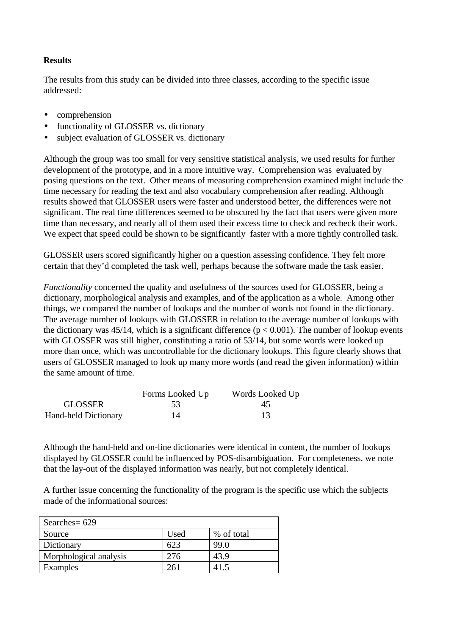#### **Results**

The results from this study can be divided into three classes, according to the specific issue addressed:

- comprehension
- functionality of GLOSSER vs. dictionary
- subject evaluation of GLOSSER vs. dictionary

Although the group was too small for very sensitive statistical analysis, we used results for further development of the prototype, and in a more intuitive way. Comprehension was evaluated by posing questions on the text. Other means of measuring comprehension examined might include the time necessary for reading the text and also vocabulary comprehension after reading. Although results showed that GLOSSER users were faster and understood better, the differences were not significant. The real time differences seemed to be obscured by the fact that users were given more time than necessary, and nearly all of them used their excess time to check and recheck their work. We expect that speed could be shown to be significantly faster with a more tightly controlled task.

GLOSSER users scored significantly higher on a question assessing confidence. They felt more certain that they'd completed the task well, perhaps because the software made the task easier.

*Functionality* concerned the quality and usefulness of the sources used for GLOSSER, being a dictionary, morphological analysis and examples, and of the application as a whole. Among other things, we compared the number of lookups and the number of words not found in the dictionary. The average number of lookups with GLOSSER in relation to the average number of lookups with the dictionary was  $45/14$ , which is a significant difference ( $p < 0.001$ ). The number of lookup events with GLOSSER was still higher, constituting a ratio of 53/14, but some words were looked up more than once, which was uncontrollable for the dictionary lookups. This figure clearly shows that users of GLOSSER managed to look up many more words (and read the given information) within the same amount of time.

|                      | Forms Looked Up | Words Looked Up |
|----------------------|-----------------|-----------------|
| <b>GLOSSER</b>       | .53             | 45              |
| Hand-held Dictionary | 14              |                 |

Although the hand-held and on-line dictionaries were identical in content, the number of lookups displayed by GLOSSER could be influenced by POS-disambiguation. For completeness, we note that the lay-out of the displayed information was nearly, but not completely identical.

A further issue concerning the functionality of the program is the specific use which the subjects made of the informational sources:

| Searches= 629          |      |            |  |  |
|------------------------|------|------------|--|--|
| Source                 | Used | % of total |  |  |
| Dictionary             | 623  | 99.0       |  |  |
| Morphological analysis | 276  | 43.9       |  |  |
| Examples               | 261  | 41.5       |  |  |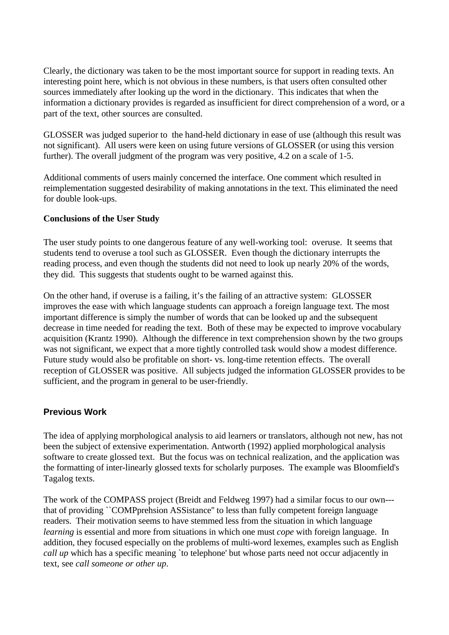Clearly, the dictionary was taken to be the most important source for support in reading texts. An interesting point here, which is not obvious in these numbers, is that users often consulted other sources immediately after looking up the word in the dictionary. This indicates that when the information a dictionary provides is regarded as insufficient for direct comprehension of a word, or a part of the text, other sources are consulted.

GLOSSER was judged superior to the hand-held dictionary in ease of use (although this result was not significant). All users were keen on using future versions of GLOSSER (or using this version further). The overall judgment of the program was very positive, 4.2 on a scale of 1-5.

Additional comments of users mainly concerned the interface. One comment which resulted in reimplementation suggested desirability of making annotations in the text. This eliminated the need for double look-ups.

#### **Conclusions of the User Study**

The user study points to one dangerous feature of any well-working tool: overuse. It seems that students tend to overuse a tool such as GLOSSER. Even though the dictionary interrupts the reading process, and even though the students did not need to look up nearly 20% of the words, they did. This suggests that students ought to be warned against this.

On the other hand, if overuse is a failing, it's the failing of an attractive system: GLOSSER improves the ease with which language students can approach a foreign language text. The most important difference is simply the number of words that can be looked up and the subsequent decrease in time needed for reading the text. Both of these may be expected to improve vocabulary acquisition (Krantz 1990). Although the difference in text comprehension shown by the two groups was not significant, we expect that a more tightly controlled task would show a modest difference. Future study would also be profitable on short- vs. long-time retention effects. The overall reception of GLOSSER was positive. All subjects judged the information GLOSSER provides to be sufficient, and the program in general to be user-friendly.

#### **Previous Work**

The idea of applying morphological analysis to aid learners or translators, although not new, has not been the subject of extensive experimentation. Antworth (1992) applied morphological analysis software to create glossed text. But the focus was on technical realization, and the application was the formatting of inter-linearly glossed texts for scholarly purposes. The example was Bloomfield's Tagalog texts.

The work of the COMPASS project (Breidt and Feldweg 1997) had a similar focus to our own-- that of providing ``COMPprehsion ASSistance'' to less than fully competent foreign language readers. Their motivation seems to have stemmed less from the situation in which language *learning* is essential and more from situations in which one must *cope* with foreign language. In addition, they focused especially on the problems of multi-word lexemes, examples such as English *call up* which has a specific meaning 'to telephone' but whose parts need not occur adjacently in text, see *call someone or other up*.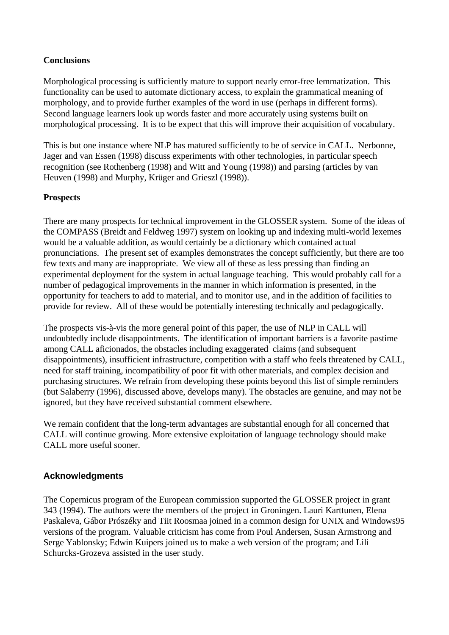#### **Conclusions**

Morphological processing is sufficiently mature to support nearly error-free lemmatization. This functionality can be used to automate dictionary access, to explain the grammatical meaning of morphology, and to provide further examples of the word in use (perhaps in different forms). Second language learners look up words faster and more accurately using systems built on morphological processing. It is to be expect that this will improve their acquisition of vocabulary.

This is but one instance where NLP has matured sufficiently to be of service in CALL. Nerbonne, Jager and van Essen (1998) discuss experiments with other technologies, in particular speech recognition (see Rothenberg (1998) and Witt and Young (1998)) and parsing (articles by van Heuven (1998) and Murphy, Krüger and Grieszl (1998)).

#### **Prospects**

There are many prospects for technical improvement in the GLOSSER system. Some of the ideas of the COMPASS (Breidt and Feldweg 1997) system on looking up and indexing multi-world lexemes would be a valuable addition, as would certainly be a dictionary which contained actual pronunciations. The present set of examples demonstrates the concept sufficiently, but there are too few texts and many are inappropriate. We view all of these as less pressing than finding an experimental deployment for the system in actual language teaching. This would probably call for a number of pedagogical improvements in the manner in which information is presented, in the opportunity for teachers to add to material, and to monitor use, and in the addition of facilities to provide for review. All of these would be potentially interesting technically and pedagogically.

The prospects vis-à-vis the more general point of this paper, the use of NLP in CALL will undoubtedly include disappointments. The identification of important barriers is a favorite pastime among CALL aficionados, the obstacles including exaggerated claims (and subsequent disappointments), insufficient infrastructure, competition with a staff who feels threatened by CALL, need for staff training, incompatibility of poor fit with other materials, and complex decision and purchasing structures. We refrain from developing these points beyond this list of simple reminders (but Salaberry (1996), discussed above, develops many). The obstacles are genuine, and may not be ignored, but they have received substantial comment elsewhere.

We remain confident that the long-term advantages are substantial enough for all concerned that CALL will continue growing. More extensive exploitation of language technology should make CALL more useful sooner.

#### **Acknowledgments**

The Copernicus program of the European commission supported the GLOSSER project in grant 343 (1994). The authors were the members of the project in Groningen. Lauri Karttunen, Elena Paskaleva, Gábor Prószéky and Tiit Roosmaa joined in a common design for UNIX and Windows95 versions of the program. Valuable criticism has come from Poul Andersen, Susan Armstrong and Serge Yablonsky; Edwin Kuipers joined us to make a web version of the program; and Lili Schurcks-Grozeva assisted in the user study.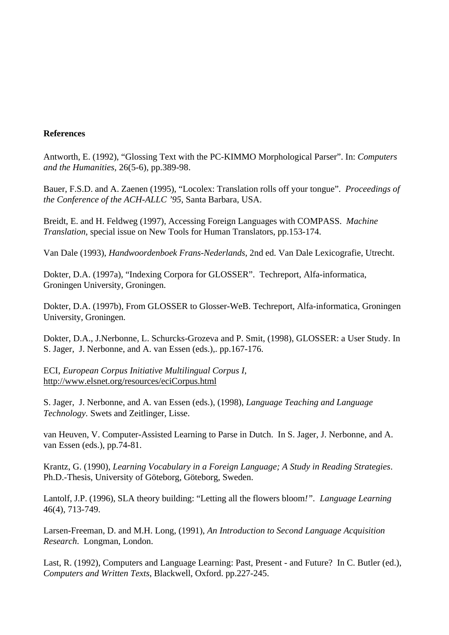#### **References**

Antworth, E. (1992), "Glossing Text with the PC-KIMMO Morphological Parser". In: *Computers and the Humanities*, 26(5-6), pp.389-98.

Bauer, F.S.D. and A. Zaenen (1995), "Locolex: Translation rolls off your tongue". *Proceedings of the Conference of the ACH-ALLC '95*, Santa Barbara, USA.

Breidt, E. and H. Feldweg (1997), Accessing Foreign Languages with COMPASS. *Machine Translation*, special issue on New Tools for Human Translators, pp.153-174.

Van Dale (1993), *Handwoordenboek Frans-Nederlands*, 2nd ed. Van Dale Lexicografie, Utrecht.

Dokter, D.A. (1997a), "Indexing Corpora for GLOSSER". Techreport, Alfa-informatica, Groningen University, Groningen.

Dokter, D.A. (1997b), From GLOSSER to Glosser-WeB. Techreport, Alfa-informatica, Groningen University, Groningen.

Dokter, D.A., J.Nerbonne, L. Schurcks-Grozeva and P. Smit, (1998), GLOSSER: a User Study. In S. Jager, J. Nerbonne, and A. van Essen (eds.),. pp.167-176.

ECI, *European Corpus Initiative Multilingual Corpus I*, http://www.elsnet.org/resources/eciCorpus.html

S. Jager, J. Nerbonne, and A. van Essen (eds.), (1998), *Language Teaching and Language Technology*. Swets and Zeitlinger, Lisse.

van Heuven, V. Computer-Assisted Learning to Parse in Dutch. In S. Jager, J. Nerbonne, and A. van Essen (eds.), pp.74-81.

Krantz, G. (1990), *Learning Vocabulary in a Foreign Language; A Study in Reading Strategies*. Ph.D.-Thesis, University of Göteborg, Göteborg, Sweden.

Lantolf, J.P. (1996), SLA theory building: "Letting all the flowers bloom*!"*. *Language Learning* 46(4), 713-749.

Larsen-Freeman, D. and M.H. Long, (1991), *An Introduction to Second Language Acquisition Research*. Longman, London.

Last, R. (1992), Computers and Language Learning: Past, Present - and Future? In C. Butler (ed.), *Computers and Written Texts*, Blackwell, Oxford. pp.227-245.